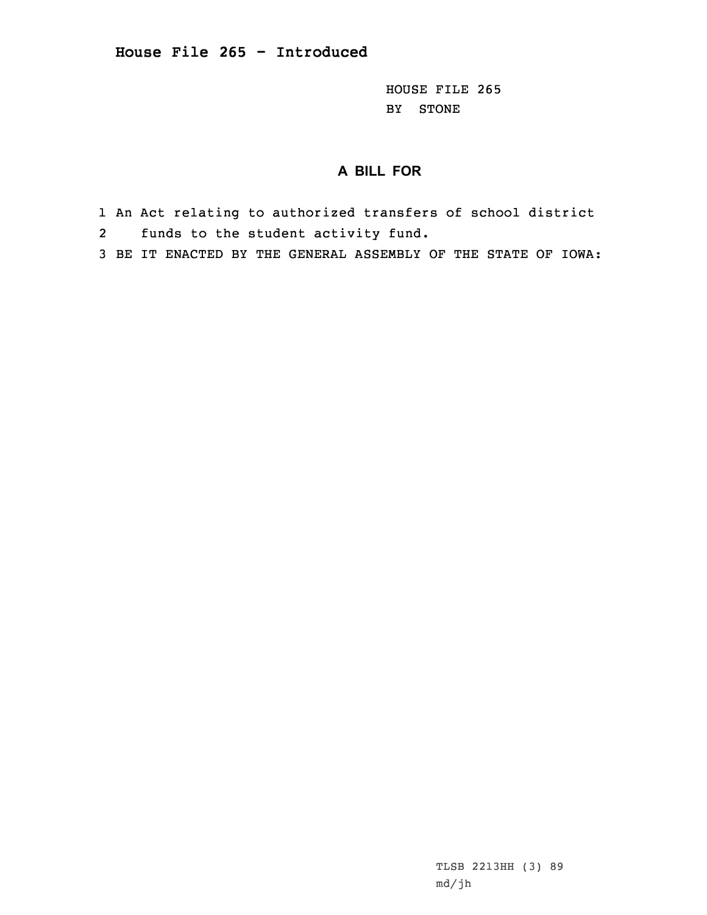HOUSE FILE 265 BY STONE

## **A BILL FOR**

- 1 An Act relating to authorized transfers of school district
- 2funds to the student activity fund.
- 3 BE IT ENACTED BY THE GENERAL ASSEMBLY OF THE STATE OF IOWA:

TLSB 2213HH (3) 89 md/jh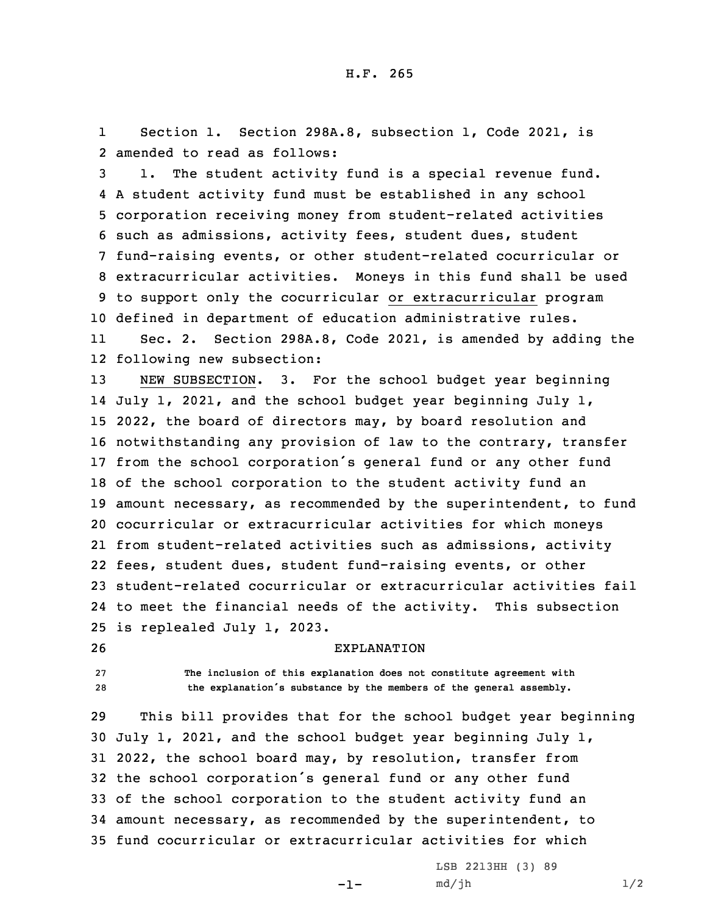1 Section 1. Section 298A.8, subsection 1, Code 2021, is 2 amended to read as follows:

 1. The student activity fund is <sup>a</sup> special revenue fund. <sup>A</sup> student activity fund must be established in any school corporation receiving money from student-related activities such as admissions, activity fees, student dues, student fund-raising events, or other student-related cocurricular or extracurricular activities. Moneys in this fund shall be used to support only the cocurricular or extracurricular program defined in department of education administrative rules.

11 Sec. 2. Section 298A.8, Code 2021, is amended by adding the 12 following new subsection:

 NEW SUBSECTION. 3. For the school budget year beginning July 1, 2021, and the school budget year beginning July 1, 2022, the board of directors may, by board resolution and notwithstanding any provision of law to the contrary, transfer from the school corporation's general fund or any other fund of the school corporation to the student activity fund an amount necessary, as recommended by the superintendent, to fund cocurricular or extracurricular activities for which moneys from student-related activities such as admissions, activity fees, student dues, student fund-raising events, or other student-related cocurricular or extracurricular activities fail to meet the financial needs of the activity. This subsection is replealed July 1, 2023.

26 EXPLANATION

27 **The inclusion of this explanation does not constitute agreement with** <sup>28</sup> **the explanation's substance by the members of the general assembly.**

 This bill provides that for the school budget year beginning July 1, 2021, and the school budget year beginning July 1, 2022, the school board may, by resolution, transfer from the school corporation's general fund or any other fund of the school corporation to the student activity fund an amount necessary, as recommended by the superintendent, to fund cocurricular or extracurricular activities for which

-1-

LSB 2213HH (3) 89  $md/jh$   $1/2$